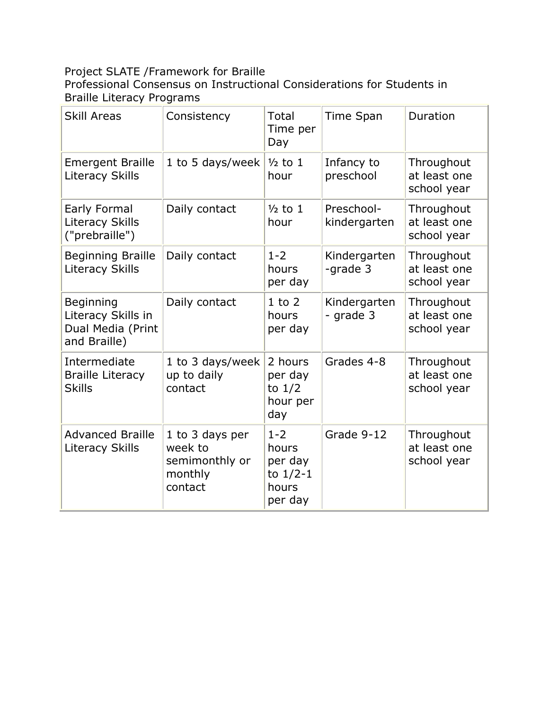# Project SLATE /Framework for Braille

Professional Consensus on Instructional Considerations for Students in Braille Literacy Programs

| <b>Skill Areas</b>                                                   | Consistency                                                        | Total<br>Time per<br>Day                                      | Time Span                  | Duration                                  |
|----------------------------------------------------------------------|--------------------------------------------------------------------|---------------------------------------------------------------|----------------------------|-------------------------------------------|
| <b>Emergent Braille</b><br><b>Literacy Skills</b>                    | 1 to 5 days/week                                                   | $\frac{1}{2}$ to 1<br>hour                                    | Infancy to<br>preschool    | Throughout<br>at least one<br>school year |
| Early Formal<br><b>Literacy Skills</b><br>("prebraille")             | Daily contact                                                      | $\frac{1}{2}$ to 1<br>hour                                    | Preschool-<br>kindergarten | Throughout<br>at least one<br>school year |
| <b>Beginning Braille</b><br><b>Literacy Skills</b>                   | Daily contact                                                      | $1 - 2$<br>hours<br>per day                                   | Kindergarten<br>-grade 3   | Throughout<br>at least one<br>school year |
| Beginning<br>Literacy Skills in<br>Dual Media (Print<br>and Braille) | Daily contact                                                      | $1$ to $2$<br>hours<br>per day                                | Kindergarten<br>- grade 3  | Throughout<br>at least one<br>school year |
| Intermediate<br><b>Braille Literacy</b><br><b>Skills</b>             | 1 to 3 days/week<br>up to daily<br>contact                         | 2 hours<br>per day<br>to $1/2$<br>hour per<br>day             | Grades 4-8                 | Throughout<br>at least one<br>school year |
| <b>Advanced Braille</b><br><b>Literacy Skills</b>                    | 1 to 3 days per<br>week to<br>semimonthly or<br>monthly<br>contact | $1 - 2$<br>hours<br>per day<br>to $1/2-1$<br>hours<br>per day | Grade 9-12                 | Throughout<br>at least one<br>school year |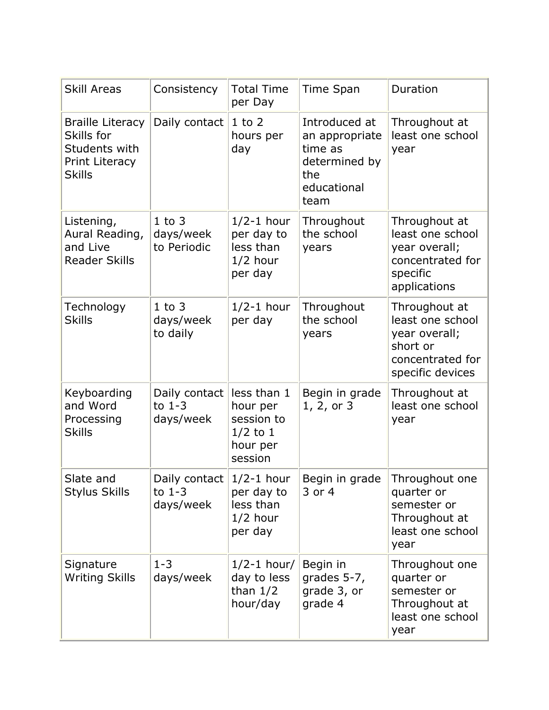| <b>Skill Areas</b>                                                                        | Consistency                                         | <b>Total Time</b><br>per Day                                               | <b>Time Span</b>                                                                          | Duration                                                                                               |
|-------------------------------------------------------------------------------------------|-----------------------------------------------------|----------------------------------------------------------------------------|-------------------------------------------------------------------------------------------|--------------------------------------------------------------------------------------------------------|
| <b>Braille Literacy</b><br>Skills for<br>Students with<br>Print Literacy<br><b>Skills</b> | Daily contact                                       | $1$ to $2$<br>hours per<br>day                                             | Introduced at<br>an appropriate<br>time as<br>determined by<br>the<br>educational<br>team | Throughout at<br>least one school<br>year                                                              |
| Listening,<br>Aural Reading,<br>and Live<br><b>Reader Skills</b>                          | $1$ to $3$<br>days/week<br>to Periodic              | $1/2-1$ hour<br>per day to<br>less than<br>$1/2$ hour<br>per day           | Throughout<br>the school<br>years                                                         | Throughout at<br>least one school<br>year overall;<br>concentrated for<br>specific<br>applications     |
| Technology<br><b>Skills</b>                                                               | $1$ to $3$<br>days/week<br>to daily                 | $1/2-1$ hour<br>per day                                                    | Throughout<br>the school<br>years                                                         | Throughout at<br>least one school<br>year overall;<br>short or<br>concentrated for<br>specific devices |
| Keyboarding<br>and Word<br>Processing<br><b>Skills</b>                                    | Daily contact<br>to $1-3$<br>days/week              | less than 1<br>hour per<br>session to<br>$1/2$ to 1<br>hour per<br>session | Begin in grade<br>1, 2, or 3                                                              | Throughout at<br>least one school<br>year                                                              |
| Slate and<br><b>Stylus Skills</b>                                                         | Daily contact $1/2-1$ hour<br>to $1-3$<br>days/week | per day to<br>less than<br>$1/2$ hour<br>per day                           | Begin in grade<br>3 or 4                                                                  | Throughout one<br>quarter or<br>semester or<br>Throughout at<br>least one school<br>year               |
| Signature<br><b>Writing Skills</b>                                                        | $1 - 3$<br>days/week                                | $1/2-1$ hour/<br>day to less<br>than $1/2$<br>hour/day                     | Begin in<br>grades 5-7,<br>grade 3, or<br>grade 4                                         | Throughout one<br>quarter or<br>semester or<br>Throughout at<br>least one school<br>year               |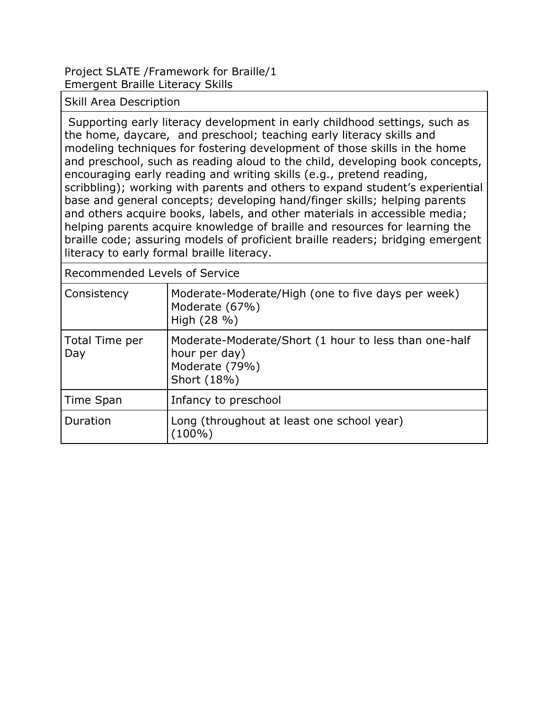Project SLATE /Framework for Braille/1 Emergent Braille Literacy Skills

Skill Area Description

Supporting early literacy development in early childhood settings, such as the home, daycare, and preschool; teaching early literacy skills and modeling techniques for fostering development of those skills in the home and preschool, such as reading aloud to the child, developing book concepts, encouraging early reading and writing skills (e.g., pretend reading, scribbling); working with parents and others to expand student's experiential base and general concepts; developing hand/finger skills; helping parents and others acquire books, labels, and other materials in accessible media; helping parents acquire knowledge of braille and resources for learning the braille code; assuring models of proficient braille readers; bridging emergent literacy to early formal braille literacy.

| Consistency           | Moderate-Moderate/High (one to five days per week)<br>Moderate (67%)<br>High (28 %)                     |
|-----------------------|---------------------------------------------------------------------------------------------------------|
| Total Time per<br>Day | Moderate-Moderate/Short (1 hour to less than one-half<br>hour per day)<br>Moderate (79%)<br>Short (18%) |
| Time Span             | Infancy to preschool                                                                                    |
| Duration              | Long (throughout at least one school year)<br>$(100\%)$                                                 |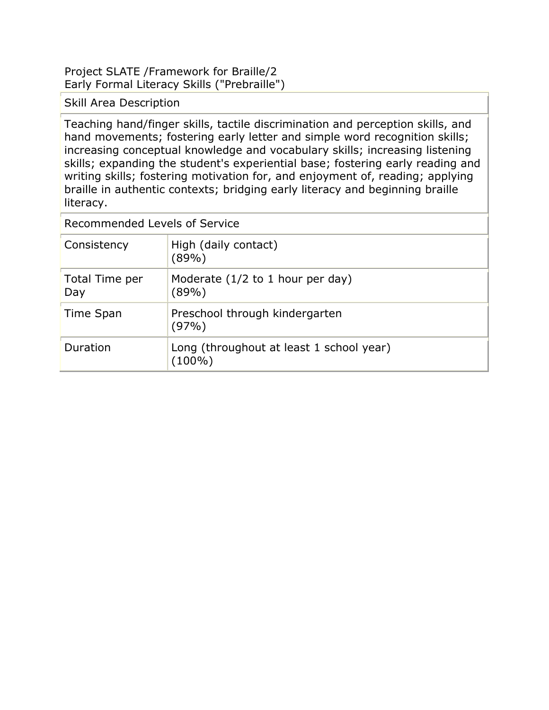### Project SLATE /Framework for Braille/2 Early Formal Literacy Skills ("Prebraille")

Skill Area Description

Teaching hand/finger skills, tactile discrimination and perception skills, and hand movements; fostering early letter and simple word recognition skills; increasing conceptual knowledge and vocabulary skills; increasing listening skills; expanding the student's experiential base; fostering early reading and writing skills; fostering motivation for, and enjoyment of, reading; applying braille in authentic contexts; bridging early literacy and beginning braille literacy.

| Consistency           | High (daily contact)<br>(89%)                      |
|-----------------------|----------------------------------------------------|
| Total Time per<br>Day | Moderate $(1/2$ to 1 hour per day)<br>(89%)        |
| Time Span             | Preschool through kindergarten<br>$(97\%)$         |
| Duration              | Long (throughout at least 1 school year)<br>(100%) |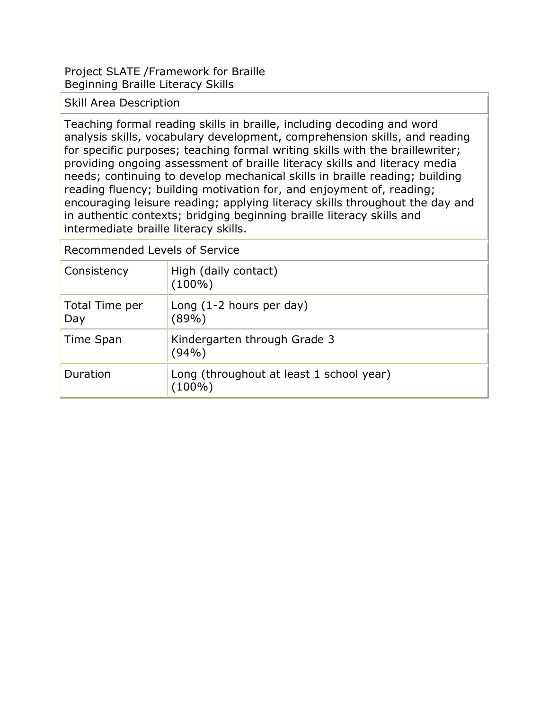Project SLATE /Framework for Braille Beginning Braille Literacy Skills

Skill Area Description

Teaching formal reading skills in braille, including decoding and word analysis skills, vocabulary development, comprehension skills, and reading for specific purposes; teaching formal writing skills with the braillewriter; providing ongoing assessment of braille literacy skills and literacy media needs; continuing to develop mechanical skills in braille reading; building reading fluency; building motivation for, and enjoyment of, reading; encouraging leisure reading; applying literacy skills throughout the day and in authentic contexts; bridging beginning braille literacy skills and intermediate braille literacy skills.

| Consistency           | High (daily contact)<br>$(100\%)$                  |
|-----------------------|----------------------------------------------------|
| Total Time per<br>Day | Long $(1-2$ hours per day)<br>(89%)                |
| Time Span             | Kindergarten through Grade 3<br>(94%)              |
| Duration              | Long (throughout at least 1 school year)<br>(100%) |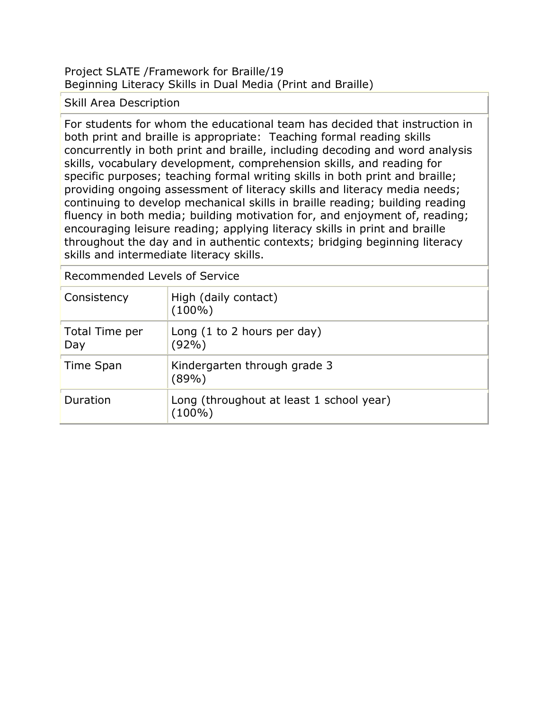# Project SLATE /Framework for Braille/19 Beginning Literacy Skills in Dual Media (Print and Braille)

# Skill Area Description

For students for whom the educational team has decided that instruction in both print and braille is appropriate: Teaching formal reading skills concurrently in both print and braille, including decoding and word analysis skills, vocabulary development, comprehension skills, and reading for specific purposes; teaching formal writing skills in both print and braille; providing ongoing assessment of literacy skills and literacy media needs; continuing to develop mechanical skills in braille reading; building reading fluency in both media; building motivation for, and enjoyment of, reading; encouraging leisure reading; applying literacy skills in print and braille throughout the day and in authentic contexts; bridging beginning literacy skills and intermediate literacy skills.

Recommended Levels of Service Consistency High (daily contact) (100%) Total Time per Day Long (1 to 2 hours per day) (92%) Time Span  $\vert$ Kindergarten through grade 3 (89%) Duration **Long (throughout at least 1 school year)** (100%)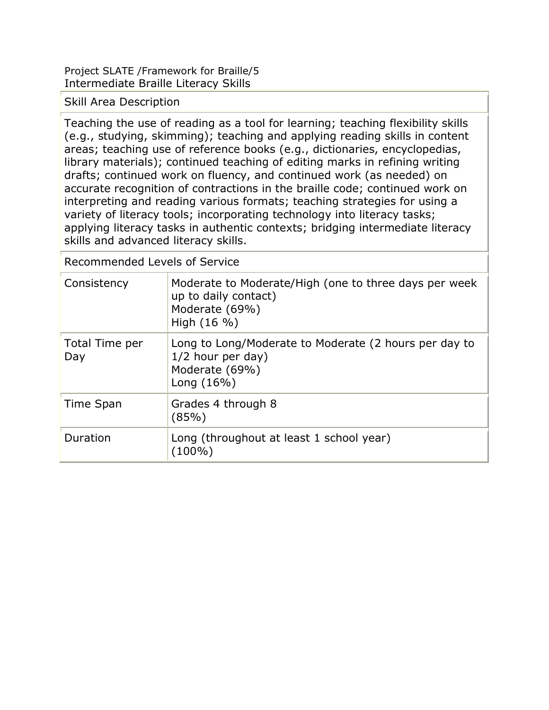Project SLATE /Framework for Braille/5 Intermediate Braille Literacy Skills

Skill Area Description

Teaching the use of reading as a tool for learning; teaching flexibility skills (e.g., studying, skimming); teaching and applying reading skills in content areas; teaching use of reference books (e.g., dictionaries, encyclopedias, library materials); continued teaching of editing marks in refining writing drafts; continued work on fluency, and continued work (as needed) on accurate recognition of contractions in the braille code; continued work on interpreting and reading various formats; teaching strategies for using a variety of literacy tools; incorporating technology into literacy tasks; applying literacy tasks in authentic contexts; bridging intermediate literacy skills and advanced literacy skills.

| Consistency           | Moderate to Moderate/High (one to three days per week<br>up to daily contact)<br>Moderate (69%)<br>High $(16 \%)$ |
|-----------------------|-------------------------------------------------------------------------------------------------------------------|
| Total Time per<br>Day | Long to Long/Moderate to Moderate (2 hours per day to<br>1/2 hour per day)<br>Moderate (69%)<br>Long $(16\%)$     |
| Time Span             | Grades 4 through 8<br>(85%)                                                                                       |
| Duration              | Long (throughout at least 1 school year)<br>$(100\%)$                                                             |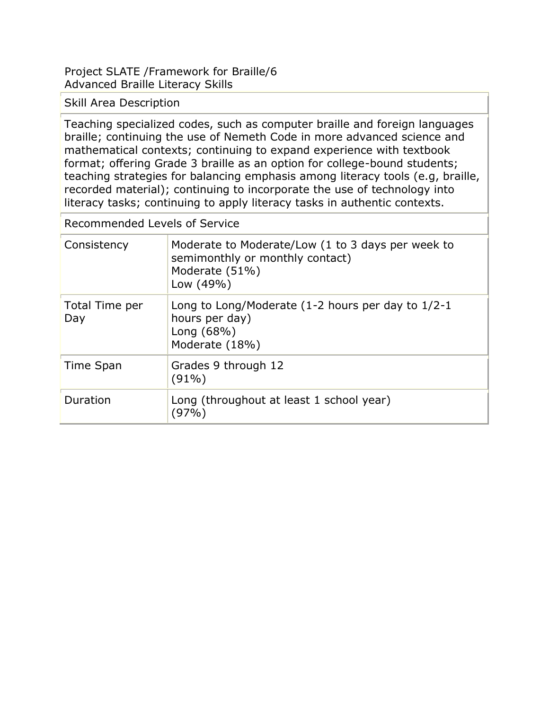Project SLATE /Framework for Braille/6 Advanced Braille Literacy Skills

Skill Area Description

Teaching specialized codes, such as computer braille and foreign languages braille; continuing the use of Nemeth Code in more advanced science and mathematical contexts; continuing to expand experience with textbook format; offering Grade 3 braille as an option for college-bound students; teaching strategies for balancing emphasis among literacy tools (e.g, braille, recorded material); continuing to incorporate the use of technology into literacy tasks; continuing to apply literacy tasks in authentic contexts.

| Consistency           | Moderate to Moderate/Low (1 to 3 days per week to<br>semimonthly or monthly contact)<br>Moderate (51%)<br>Low (49%) |
|-----------------------|---------------------------------------------------------------------------------------------------------------------|
| Total Time per<br>Day | Long to Long/Moderate $(1-2$ hours per day to $1/2-1$<br>hours per day)<br>Long $(68%)$<br>Moderate (18%)           |
| Time Span             | Grades 9 through 12<br>$(91\%)$                                                                                     |
| Duration              | Long (throughout at least 1 school year)<br>97%                                                                     |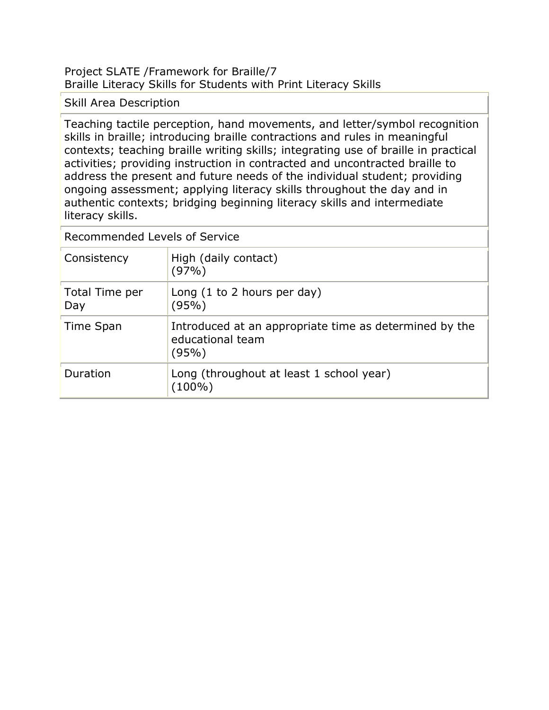### Project SLATE /Framework for Braille/7 Braille Literacy Skills for Students with Print Literacy Skills

# Skill Area Description

Teaching tactile perception, hand movements, and letter/symbol recognition skills in braille; introducing braille contractions and rules in meaningful contexts; teaching braille writing skills; integrating use of braille in practical activities; providing instruction in contracted and uncontracted braille to address the present and future needs of the individual student; providing ongoing assessment; applying literacy skills throughout the day and in authentic contexts; bridging beginning literacy skills and intermediate literacy skills.

| Consistency           | High (daily contact)<br>(97%)                                                       |
|-----------------------|-------------------------------------------------------------------------------------|
| Total Time per<br>Day | Long $(1 to 2 hours per day)$<br>(95%)                                              |
| Time Span             | Introduced at an appropriate time as determined by the<br>educational team<br>(95%) |
| Duration              | Long (throughout at least 1 school year)<br>(100%)                                  |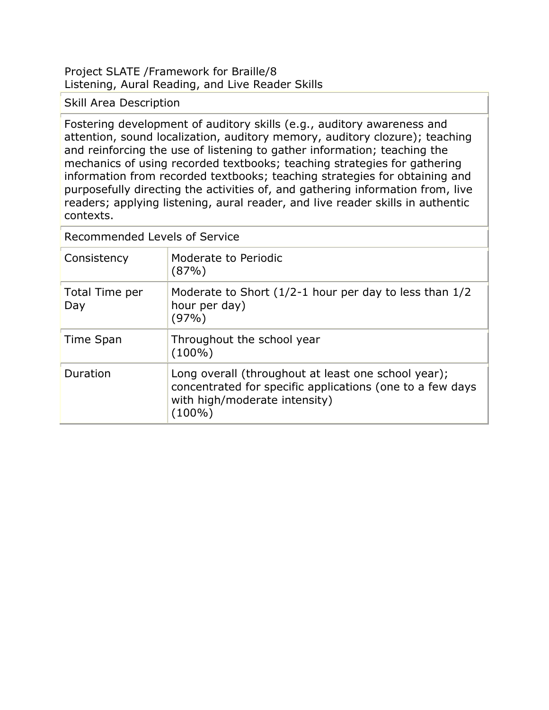Project SLATE /Framework for Braille/8 Listening, Aural Reading, and Live Reader Skills

Skill Area Description

Fostering development of auditory skills (e.g., auditory awareness and attention, sound localization, auditory memory, auditory clozure); teaching and reinforcing the use of listening to gather information; teaching the mechanics of using recorded textbooks; teaching strategies for gathering information from recorded textbooks; teaching strategies for obtaining and purposefully directing the activities of, and gathering information from, live readers; applying listening, aural reader, and live reader skills in authentic contexts.

| Consistency           | Moderate to Periodic<br>(87%)                                                                                                                               |
|-----------------------|-------------------------------------------------------------------------------------------------------------------------------------------------------------|
| Total Time per<br>Day | Moderate to Short $(1/2-1)$ hour per day to less than $1/2$<br>hour per day)<br>(97%)                                                                       |
| Time Span             | Throughout the school year<br>$(100\%)$                                                                                                                     |
| Duration              | Long overall (throughout at least one school year);<br>concentrated for specific applications (one to a few days<br>with high/moderate intensity)<br>(100%) |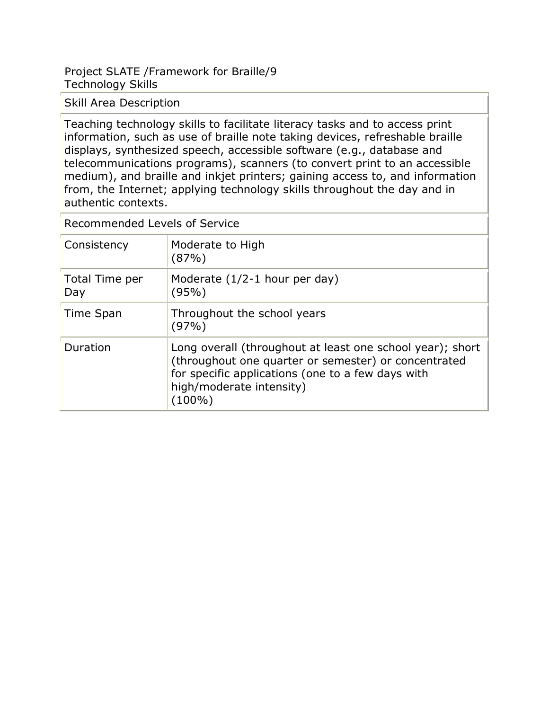## Project SLATE /Framework for Braille/9 Technology Skills

Skill Area Description

Teaching technology skills to facilitate literacy tasks and to access print information, such as use of braille note taking devices, refreshable braille displays, synthesized speech, accessible software (e.g., database and telecommunications programs), scanners (to convert print to an accessible medium), and braille and inkjet printers; gaining access to, and information from, the Internet; applying technology skills throughout the day and in authentic contexts.

| Consistency           | Moderate to High<br>(87%)                                                                                                                                                                                    |
|-----------------------|--------------------------------------------------------------------------------------------------------------------------------------------------------------------------------------------------------------|
| Total Time per<br>Day | Moderate $(1/2-1$ hour per day)<br>(95%)                                                                                                                                                                     |
| Time Span             | Throughout the school years<br>(97%)                                                                                                                                                                         |
| Duration              | Long overall (throughout at least one school year); short<br>(throughout one quarter or semester) or concentrated<br>for specific applications (one to a few days with<br>high/moderate intensity)<br>(100%) |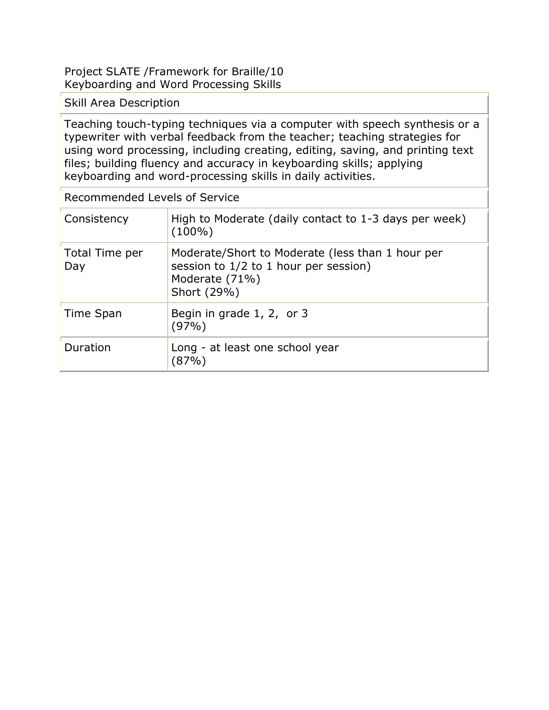### Project SLATE /Framework for Braille/10 Keyboarding and Word Processing Skills

### Skill Area Description

Teaching touch-typing techniques via a computer with speech synthesis or a typewriter with verbal feedback from the teacher; teaching strategies for using word processing, including creating, editing, saving, and printing text files; building fluency and accuracy in keyboarding skills; applying keyboarding and word-processing skills in daily activities.

| Recommended Levels of Service |                                                                                                                            |  |
|-------------------------------|----------------------------------------------------------------------------------------------------------------------------|--|
| Consistency                   | High to Moderate (daily contact to 1-3 days per week)<br>$(100\%)$                                                         |  |
| Total Time per<br>Day         | Moderate/Short to Moderate (less than 1 hour per<br>session to 1/2 to 1 hour per session)<br>Moderate (71%)<br>Short (29%) |  |
| Time Span                     | Begin in grade 1, 2, or 3<br>(97%)                                                                                         |  |
| Duration                      | Long - at least one school year<br>$87\%$                                                                                  |  |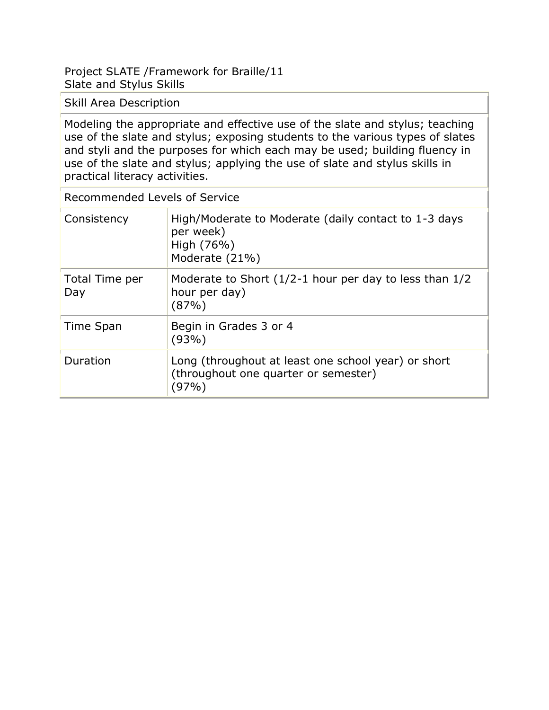### Project SLATE /Framework for Braille/11 Slate and Stylus Skills

Skill Area Description

Modeling the appropriate and effective use of the slate and stylus; teaching use of the slate and stylus; exposing students to the various types of slates and styli and the purposes for which each may be used; building fluency in use of the slate and stylus; applying the use of slate and stylus skills in practical literacy activities.

| Recommended Levels of Service |                                                                                                      |  |
|-------------------------------|------------------------------------------------------------------------------------------------------|--|
| Consistency                   | High/Moderate to Moderate (daily contact to 1-3 days<br>per week)<br>High (76%)<br>Moderate (21%)    |  |
| Total Time per<br>Day         | Moderate to Short $(1/2-1)$ hour per day to less than $1/2$<br>hour per day)<br>(87%)                |  |
| Time Span                     | Begin in Grades 3 or 4<br>(93%)                                                                      |  |
| Duration                      | Long (throughout at least one school year) or short<br>(throughout one quarter or semester)<br>(97%) |  |